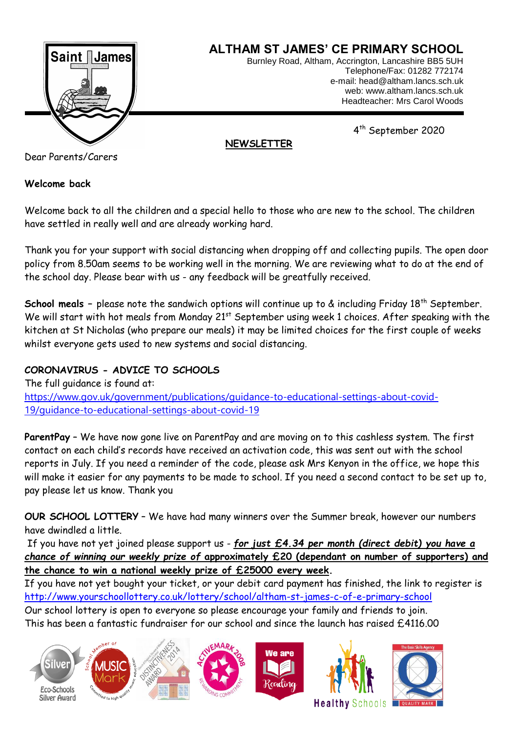

Dear Parents/Carers

## **Welcome back**

Welcome back to all the children and a special hello to those who are new to the school. The children have settled in really well and are already working hard.

Thank you for your support with social distancing when dropping off and collecting pupils. The open door policy from 8.50am seems to be working well in the morning. We are reviewing what to do at the end of the school day. Please bear with us - any feedback will be greatfully received.

**School meals -** please note the sandwich options will continue up to & including Friday 18<sup>th</sup> September. We will start with hot meals from Monday 21<sup>st</sup> September using week 1 choices. After speaking with the kitchen at St Nicholas (who prepare our meals) it may be limited choices for the first couple of weeks whilst everyone gets used to new systems and social distancing.

# **CORONAVIRUS - ADVICE TO SCHOOLS**

The full guidance is found at: [https://www.gov.uk/government/publications/guidance-to-educational-settings-about-covid-](https://www.gov.uk/government/publications/guidance-to-educational-settings-about-covid-19/guidance-to-educational-settings-about-covid-19)[19/guidance-to-educational-settings-about-covid-19](https://www.gov.uk/government/publications/guidance-to-educational-settings-about-covid-19/guidance-to-educational-settings-about-covid-19)

**ParentPay** – We have now gone live on ParentPay and are moving on to this cashless system. The first contact on each child's records have received an activation code, this was sent out with the school reports in July. If you need a reminder of the code, please ask Mrs Kenyon in the office, we hope this will make it easier for any payments to be made to school. If you need a second contact to be set up to, pay please let us know. Thank you

**OUR SCHOOL LOTTERY** – We have had many winners over the Summer break, however our numbers have dwindled a little.

If you have not yet joined please support us - *for just £4.34 per month (direct debit) you have a chance of winning our weekly prize of* **approximately £20 (dependant on number of supporters) and the chance to win a national weekly prize of £25000 every week.**

If you have not yet bought your ticket, or your debit card payment has finished, the link to register is <http://www.yourschoollottery.co.uk/lottery/school/altham-st-james-c-of-e-primary-school> Our school lottery is open to everyone so please encourage your family and friends to join. This has been a fantastic fundraiser for our school and since the launch has raised £4116.00







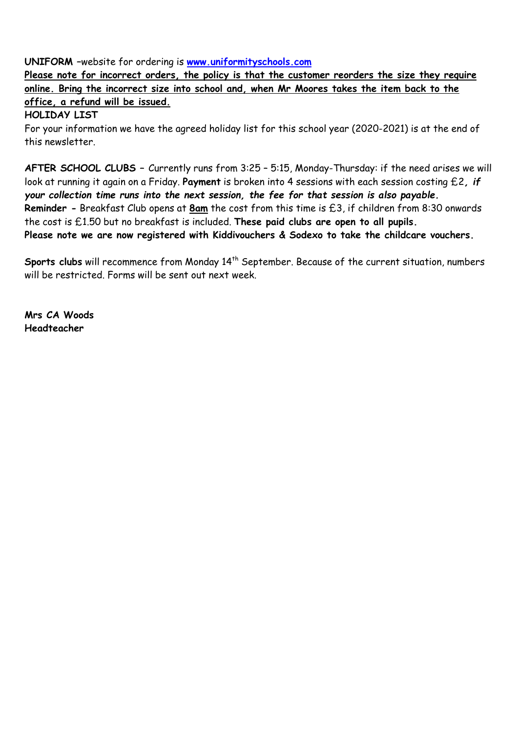**UNIFORM –**website for ordering is **[www.uniformityschools.com](http://www.uniformityschools.com/)**

**Please note for incorrect orders, the policy is that the customer reorders the size they require online. Bring the incorrect size into school and, when Mr Moores takes the item back to the office, a refund will be issued.**

**HOLIDAY LIST**

For your information we have the agreed holiday list for this school year (2020-2021) is at the end of this newsletter.

**AFTER SCHOOL CLUBS –** Currently runs from 3:25 – 5:15, Monday-Thursday: if the need arises we will look at running it again on a Friday. **Payment** is broken into 4 sessions with each session costing £2*, if your collection time runs into the next session, the fee for that session is also payable.*  **Reminder -** Breakfast Club opens at **8am** the cost from this time is £3, if children from 8:30 onwards the cost is £1.50 but no breakfast is included. **These paid clubs are open to all pupils. Please note we are now registered with Kiddivouchers & Sodexo to take the childcare vouchers.**

Sports clubs will recommence from Monday 14<sup>th</sup> September. Because of the current situation, numbers will be restricted. Forms will be sent out next week.

**Mrs CA Woods Headteacher**